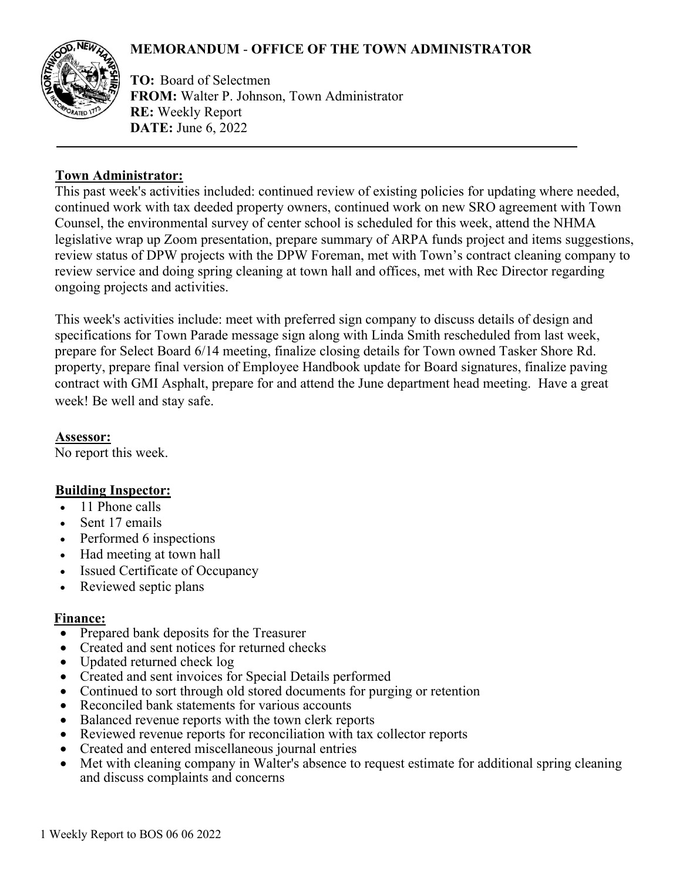# **MEMORANDUM** - **OFFICE OF THE TOWN ADMINISTRATOR**



**TO:** Board of Selectmen **FROM:** Walter P. Johnson, Town Administrator **RE:** Weekly Report **DATE:** June 6, 2022

#### **Town Administrator:**

This past week's activities included: continued review of existing policies for updating where needed, continued work with tax deeded property owners, continued work on new SRO agreement with Town Counsel, the environmental survey of center school is scheduled for this week, attend the NHMA legislative wrap up Zoom presentation, prepare summary of ARPA funds project and items suggestions, review status of DPW projects with the DPW Foreman, met with Town's contract cleaning company to review service and doing spring cleaning at town hall and offices, met with Rec Director regarding ongoing projects and activities.

This week's activities include: meet with preferred sign company to discuss details of design and specifications for Town Parade message sign along with Linda Smith rescheduled from last week, prepare for Select Board 6/14 meeting, finalize closing details for Town owned Tasker Shore Rd. property, prepare final version of Employee Handbook update for Board signatures, finalize paving contract with GMI Asphalt, prepare for and attend the June department head meeting. Have a great week! Be well and stay safe.

**Assessor:**

No report this week.

### **Building Inspector:**

- 11 Phone calls
- Sent 17 emails
- Performed 6 inspections
- Had meeting at town hall
- Issued Certificate of Occupancy
- Reviewed septic plans

#### **Finance:**

- Prepared bank deposits for the Treasurer
- Created and sent notices for returned checks
- Updated returned check log
- Created and sent invoices for Special Details performed
- Continued to sort through old stored documents for purging or retention
- Reconciled bank statements for various accounts
- Balanced revenue reports with the town clerk reports
- Reviewed revenue reports for reconciliation with tax collector reports
- Created and entered miscellaneous journal entries
- Met with cleaning company in Walter's absence to request estimate for additional spring cleaning and discuss complaints and concerns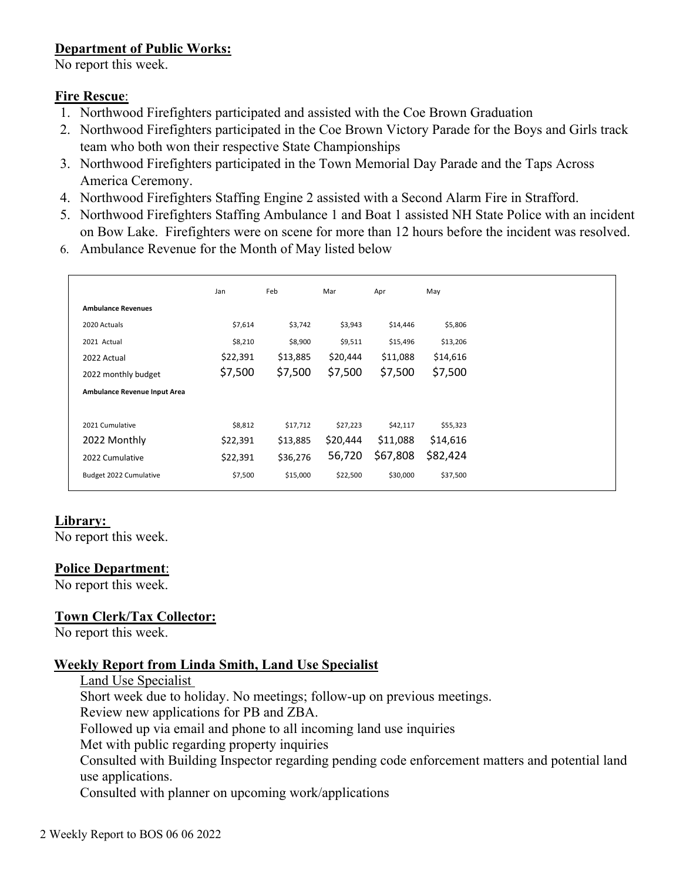## **Department of Public Works:**

No report this week.

### **Fire Rescue**:

- 1. Northwood Firefighters participated and assisted with the Coe Brown Graduation
- 2. Northwood Firefighters participated in the Coe Brown Victory Parade for the Boys and Girls track team who both won their respective State Championships
- 3. Northwood Firefighters participated in the Town Memorial Day Parade and the Taps Across America Ceremony.
- 4. Northwood Firefighters Staffing Engine 2 assisted with a Second Alarm Fire in Strafford.
- 5. Northwood Firefighters Staffing Ambulance 1 and Boat 1 assisted NH State Police with an incident on Bow Lake. Firefighters were on scene for more than 12 hours before the incident was resolved.
- 6. Ambulance Revenue for the Month of May listed below

|                              | Jan      | Feb      | Mar      | Apr      | May      |
|------------------------------|----------|----------|----------|----------|----------|
| <b>Ambulance Revenues</b>    |          |          |          |          |          |
| 2020 Actuals                 | \$7,614  | \$3,742  | \$3,943  | \$14,446 | \$5,806  |
| 2021 Actual                  | \$8,210  | \$8,900  | \$9,511  | \$15,496 | \$13,206 |
| 2022 Actual                  | \$22,391 | \$13,885 | \$20,444 | \$11,088 | \$14,616 |
| 2022 monthly budget          | \$7,500  | \$7,500  | \$7,500  | \$7,500  | \$7,500  |
| Ambulance Revenue Input Area |          |          |          |          |          |
| 2021 Cumulative              | \$8,812  | \$17,712 | \$27,223 | \$42,117 | \$55,323 |
| 2022 Monthly                 | \$22,391 | \$13,885 | \$20,444 | \$11,088 | \$14,616 |
| 2022 Cumulative              | \$22,391 | \$36,276 | 56,720   | \$67,808 | \$82,424 |
| Budget 2022 Cumulative       | \$7,500  | \$15,000 | \$22,500 | \$30,000 | \$37,500 |

### **Library:**

No report this week.

#### **Police Department**:

No report this week.

### **Town Clerk/Tax Collector:**

No report this week.

### **Weekly Report from Linda Smith, Land Use Specialist**

Land Use Specialist Short week due to holiday. No meetings; follow-up on previous meetings. Review new applications for PB and ZBA. Followed up via email and phone to all incoming land use inquiries Met with public regarding property inquiries Consulted with Building Inspector regarding pending code enforcement matters and potential land use applications. Consulted with planner on upcoming work/applications